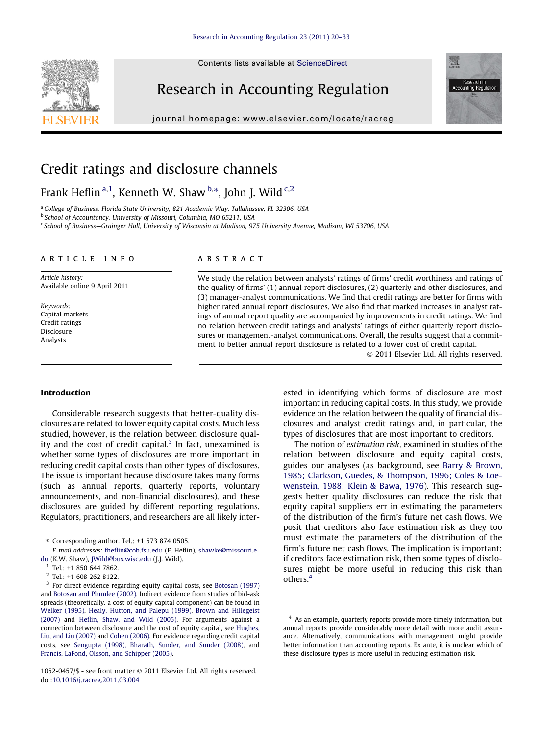Contents lists available at [ScienceDirect](http://www.sciencedirect.com/science/journal/10520457)

# Research in Accounting Regulation

journal homepage: [www.elsevier.com/locate/racreg](http://www.elsevier.com/locate/racreg)





## Credit ratings and disclosure channels

### Frank Heflin <sup>a, 1</sup>, Kenneth W. Shaw <sup>b,\*</sup>, John J. Wild <sup>c,2</sup>

<sup>a</sup> College of Business, Florida State University, 821 Academic Way, Tallahassee, FL 32306, USA

**b School of Accountancy, University of Missouri, Columbia, MO 65211, USA** 

<sup>c</sup> School of Business—Grainger Hall, University of Wisconsin at Madison, 975 University Avenue, Madison, WI 53706, USA

#### article info

Article history: Available online 9 April 2011

Keywords: Capital markets Credit ratings Disclosure Analysts

#### **ABSTRACT**

We study the relation between analysts' ratings of firms' credit worthiness and ratings of the quality of firms' (1) annual report disclosures, (2) quarterly and other disclosures, and (3) manager-analyst communications. We find that credit ratings are better for firms with higher rated annual report disclosures. We also find that marked increases in analyst ratings of annual report quality are accompanied by improvements in credit ratings. We find no relation between credit ratings and analysts' ratings of either quarterly report disclosures or management-analyst communications. Overall, the results suggest that a commitment to better annual report disclosure is related to a lower cost of credit capital.

- 2011 Elsevier Ltd. All rights reserved.

#### Introduction

Considerable research suggests that better-quality disclosures are related to lower equity capital costs. Much less studied, however, is the relation between disclosure quality and the cost of credit capital. $3$  In fact, unexamined is whether some types of disclosures are more important in reducing credit capital costs than other types of disclosures. The issue is important because disclosure takes many forms (such as annual reports, quarterly reports, voluntary announcements, and non-financial disclosures), and these disclosures are guided by different reporting regulations. Regulators, practitioners, and researchers are all likely interested in identifying which forms of disclosure are most important in reducing capital costs. In this study, we provide evidence on the relation between the quality of financial disclosures and analyst credit ratings and, in particular, the types of disclosures that are most important to creditors.

The notion of estimation risk, examined in studies of the relation between disclosure and equity capital costs, guides our analyses (as background, see [Barry & Brown,](#page--1-0) [1985; Clarkson, Guedes, & Thompson, 1996; Coles & Loe](#page--1-0)[wenstein, 1988; Klein & Bawa, 1976](#page--1-0)). This research suggests better quality disclosures can reduce the risk that equity capital suppliers err in estimating the parameters of the distribution of the firm's future net cash flows. We posit that creditors also face estimation risk as they too must estimate the parameters of the distribution of the firm's future net cash flows. The implication is important: if creditors face estimation risk, then some types of disclosures might be more useful in reducing this risk than others.4

<sup>⇑</sup> Corresponding author. Tel.: +1 573 874 0505.

E-mail addresses: [fheflin@cob.fsu.edu](mailto:fheflin@cob.fsu.edu) (F. Heflin), [shawke@missouri.e](mailto:shawke@missouri.edu)[du](mailto:shawke@missouri.edu) (K.W. Shaw), [JWild@bus.wisc.edu](mailto:JWild@bus.wisc.edu) (J.J. Wild).

 $1$  Tel.: +1 850 644 7862.

<sup>2</sup> Tel.: +1 608 262 8122.

<sup>&</sup>lt;sup>3</sup> For direct evidence regarding equity capital costs, see [Botosan \(1997\)](#page--1-0) and [Botosan and Plumlee \(2002\).](#page--1-0) Indirect evidence from studies of bid-ask spreads (theoretically, a cost of equity capital component) can be found in [Welker \(1995\)](#page--1-0), [Healy, Hutton, and Palepu \(1999\)](#page--1-0), [Brown and Hillegeist](#page--1-0) [\(2007\)](#page--1-0) and [Heflin, Shaw, and Wild \(2005\)](#page--1-0). For arguments against a connection between disclosure and the cost of equity capital, see [Hughes,](#page--1-0) [Liu, and Liu \(2007\)](#page--1-0) and [Cohen \(2006\).](#page--1-0) For evidence regarding credit capital costs, see [Sengupta \(1998\), Bharath, Sunder, and Sunder \(2008\),](#page--1-0) and [Francis, LaFond, Olsson, and Schipper \(2005\).](#page--1-0)

 $1052 - 0457$ /\$ - see front matter  $\odot$  2011 Elsevier Ltd. All rights reserved. doi[:10.1016/j.racreg.2011.03.004](http://dx.doi.org/10.1016/j.racreg.2011.03.004)

<sup>4</sup> As an example, quarterly reports provide more timely information, but annual reports provide considerably more detail with more audit assurance. Alternatively, communications with management might provide better information than accounting reports. Ex ante, it is unclear which of these disclosure types is more useful in reducing estimation risk.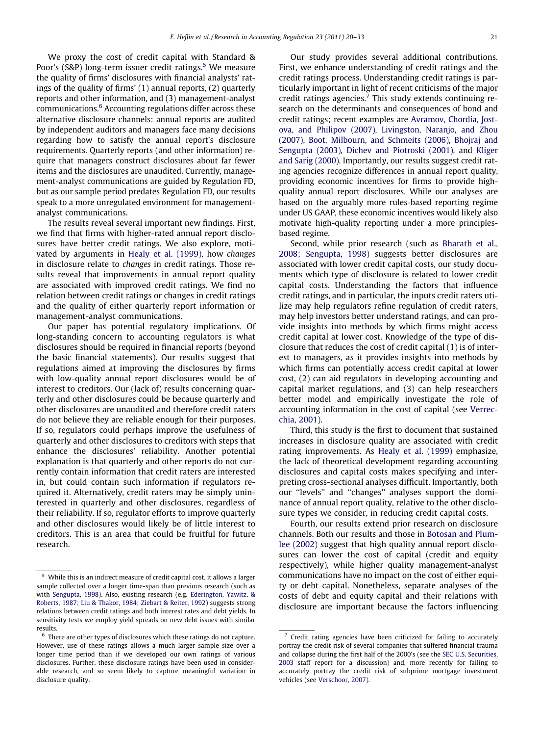We proxy the cost of credit capital with Standard & Poor's (S&P) long-term issuer credit ratings.<sup>5</sup> We measure the quality of firms' disclosures with financial analysts' ratings of the quality of firms' (1) annual reports, (2) quarterly reports and other information, and (3) management-analyst communications.6 Accounting regulations differ across these alternative disclosure channels: annual reports are audited by independent auditors and managers face many decisions regarding how to satisfy the annual report's disclosure requirements. Quarterly reports (and other information) require that managers construct disclosures about far fewer items and the disclosures are unaudited. Currently, management-analyst communications are guided by Regulation FD, but as our sample period predates Regulation FD, our results speak to a more unregulated environment for managementanalyst communications.

The results reveal several important new findings. First, we find that firms with higher-rated annual report disclosures have better credit ratings. We also explore, motivated by arguments in [Healy et al. \(1999\),](#page--1-0) how changes in disclosure relate to changes in credit ratings. Those results reveal that improvements in annual report quality are associated with improved credit ratings. We find no relation between credit ratings or changes in credit ratings and the quality of either quarterly report information or management-analyst communications.

Our paper has potential regulatory implications. Of long-standing concern to accounting regulators is what disclosures should be required in financial reports (beyond the basic financial statements). Our results suggest that regulations aimed at improving the disclosures by firms with low-quality annual report disclosures would be of interest to creditors. Our (lack of) results concerning quarterly and other disclosures could be because quarterly and other disclosures are unaudited and therefore credit raters do not believe they are reliable enough for their purposes. If so, regulators could perhaps improve the usefulness of quarterly and other disclosures to creditors with steps that enhance the disclosures' reliability. Another potential explanation is that quarterly and other reports do not currently contain information that credit raters are interested in, but could contain such information if regulators required it. Alternatively, credit raters may be simply uninterested in quarterly and other disclosures, regardless of their reliability. If so, regulator efforts to improve quarterly and other disclosures would likely be of little interest to creditors. This is an area that could be fruitful for future research.

Our study provides several additional contributions. First, we enhance understanding of credit ratings and the credit ratings process. Understanding credit ratings is particularly important in light of recent criticisms of the major credit ratings agencies.<sup>7</sup> This study extends continuing research on the determinants and consequences of bond and credit ratings; recent examples are [Avramov, Chordia, Jost](#page--1-0)[ova, and Philipov \(2007\), Livingston, Naranjo, and Zhou](#page--1-0) [\(2007\), Boot, Milbourn, and Schmeits \(2006\)](#page--1-0), [Bhojraj and](#page--1-0) [Sengupta \(2003\)](#page--1-0), [Dichev and Piotroski \(2001\),](#page--1-0) and [Kliger](#page--1-0) [and Sarig \(2000\)](#page--1-0). Importantly, our results suggest credit rating agencies recognize differences in annual report quality, providing economic incentives for firms to provide highquality annual report disclosures. While our analyses are based on the arguably more rules-based reporting regime under US GAAP, these economic incentives would likely also motivate high-quality reporting under a more principlesbased regime.

Second, while prior research (such as [Bharath et al.,](#page--1-0) [2008; Sengupta, 1998](#page--1-0)) suggests better disclosures are associated with lower credit capital costs, our study documents which type of disclosure is related to lower credit capital costs. Understanding the factors that influence credit ratings, and in particular, the inputs credit raters utilize may help regulators refine regulation of credit raters, may help investors better understand ratings, and can provide insights into methods by which firms might access credit capital at lower cost. Knowledge of the type of disclosure that reduces the cost of credit capital (1) is of interest to managers, as it provides insights into methods by which firms can potentially access credit capital at lower cost, (2) can aid regulators in developing accounting and capital market regulations, and (3) can help researchers better model and empirically investigate the role of accounting information in the cost of capital (see [Verrec](#page--1-0)[chia, 2001\)](#page--1-0).

Third, this study is the first to document that sustained increases in disclosure quality are associated with credit rating improvements. As [Healy et al. \(1999\)](#page--1-0) emphasize, the lack of theoretical development regarding accounting disclosures and capital costs makes specifying and interpreting cross-sectional analyses difficult. Importantly, both our ''levels'' and ''changes'' analyses support the dominance of annual report quality, relative to the other disclosure types we consider, in reducing credit capital costs.

Fourth, our results extend prior research on disclosure channels. Both our results and those in [Botosan and Plum](#page--1-0)[lee \(2002\)](#page--1-0) suggest that high quality annual report disclosures can lower the cost of capital (credit and equity respectively), while higher quality management-analyst communications have no impact on the cost of either equity or debt capital. Nonetheless, separate analyses of the costs of debt and equity capital and their relations with disclosure are important because the factors influencing

 $5$  While this is an indirect measure of credit capital cost, it allows a larger sample collected over a longer time-span than previous research (such as with [Sengupta, 1998\)](#page--1-0). Also, existing research (e.g. [Ederington, Yawitz, &](#page--1-0) [Roberts, 1987; Liu & Thakor, 1984; Ziebart & Reiter, 1992\)](#page--1-0) suggests strong relations between credit ratings and both interest rates and debt yields. In sensitivity tests we employ yield spreads on new debt issues with similar results.

 $^{\rm 6}$  There are other types of disclosures which these ratings do not capture. However, use of these ratings allows a much larger sample size over a longer time period than if we developed our own ratings of various disclosures. Further, these disclosure ratings have been used in considerable research, and so seem likely to capture meaningful variation in disclosure quality.

<sup>7</sup> Credit rating agencies have been criticized for failing to accurately portray the credit risk of several companies that suffered financial trauma and collapse during the first half of the 2000's (see the [SEC U.S. Securities,](#page--1-0) [2003](#page--1-0) staff report for a discussion) and, more recently for failing to accurately portray the credit risk of subprime mortgage investment vehicles (see [Verschoor, 2007\)](#page--1-0).